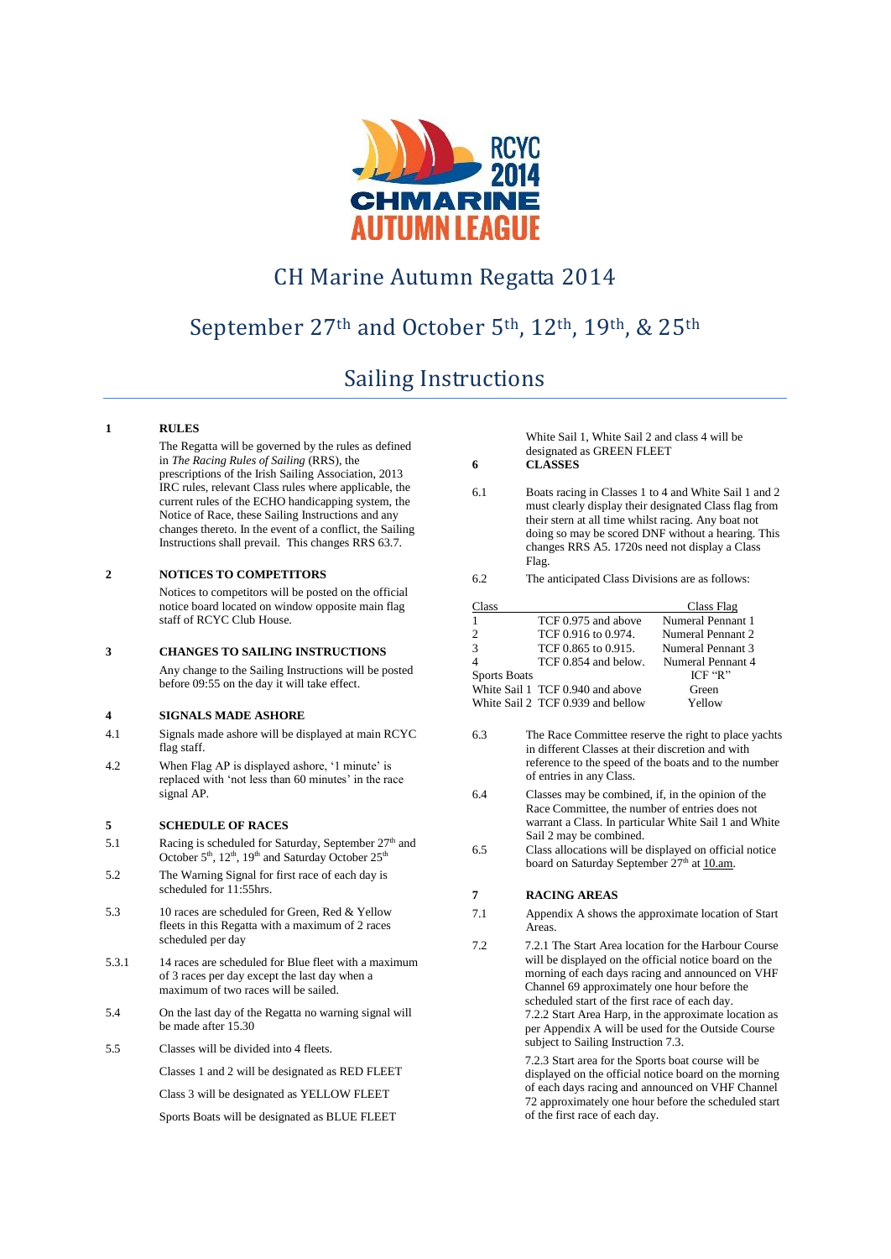

# CH Marine Autumn Regatta 2014

# September 27th and October 5th, 12th, 19th, & 25th

# Sailing Instructions

### **1 RULES**

The Regatta will be governed by the rules as defined in *The Racing Rules of Sailing* (RRS), the prescriptions of the Irish Sailing Association, 2013 IRC rules, relevant Class rules where applicable, the current rules of the ECHO handicapping system, the Notice of Race, these Sailing Instructions and any changes thereto. In the event of a conflict, the Sailing Instructions shall prevail. This changes RRS 63.7.

#### **2 NOTICES TO COMPETITORS**

Notices to competitors will be posted on the official notice board located on window opposite main flag staff of RCYC Club House.

#### **3 CHANGES TO SAILING INSTRUCTIONS**

Any change to the Sailing Instructions will be posted before 09:55 on the day it will take effect.

## **4 SIGNALS MADE ASHORE**

- 4.1 Signals made ashore will be displayed at main RCYC flag staff.
- 4.2 When Flag AP is displayed ashore, '1 minute' is replaced with 'not less than 60 minutes' in the race signal AP.

#### **5 SCHEDULE OF RACES**

- 5.1 Racing is scheduled for Saturday, September 27<sup>th</sup> and October 5<sup>th</sup>, 12<sup>th</sup>, 19<sup>th</sup> and Saturday October 25<sup>th</sup>
- 5.2 The Warning Signal for first race of each day is scheduled for 11:55hrs.
- 5.3 10 races are scheduled for Green, Red & Yellow fleets in this Regatta with a maximum of 2 races scheduled per day
- 5.3.1 14 races are scheduled for Blue fleet with a maximum of 3 races per day except the last day when a maximum of two races will be sailed.
- 5.4 On the last day of the Regatta no warning signal will be made after 15.30
- 5.5 Classes will be divided into 4 fleets.

Classes 1 and 2 will be designated as RED FLEET

Class 3 will be designated as YELLOW FLEET

Sports Boats will be designated as BLUE FLEET

White Sail 1, White Sail 2 and class 4 will be designated as GREEN FLEET

**6 CLASSES**

6.1 Boats racing in Classes 1 to 4 and White Sail 1 and 2 must clearly display their designated Class flag from their stern at all time whilst racing. Any boat not doing so may be scored DNF without a hearing. This changes RRS A5. 1720s need not display a Class Flag.

6.2 The anticipated Class Divisions are as follows:

| Class               |                                   | Class Flag        |
|---------------------|-----------------------------------|-------------------|
|                     | TCF 0.975 and above               | Numeral Pennant 1 |
| $\mathfrak{D}$      | TCF 0.916 to 0.974.               | Numeral Pennant 2 |
| 3                   | TCF 0.865 to 0.915.               | Numeral Pennant 3 |
|                     | TCF 0.854 and below.              | Numeral Pennant 4 |
| <b>Sports Boats</b> |                                   | $ICF$ "R"         |
|                     | White Sail 1 TCF 0.940 and above  | Green             |
|                     | White Sail 2 TCF 0.939 and bellow | Yellow            |

- 6.3 The Race Committee reserve the right to place yachts in different Classes at their discretion and with reference to the speed of the boats and to the number of entries in any Class.
- 6.4 Classes may be combined, if, in the opinion of the Race Committee, the number of entries does not warrant a Class. In particular White Sail 1 and White Sail 2 may be combined.
- 6.5 Class allocations will be displayed on official notice board on Saturday September 27<sup>th</sup> a[t 10.am.](http://9.am/)

#### **7 RACING AREAS**

- 7.1 Appendix A shows the approximate location of Start Areas.
- 7.2 7.2.1 The Start Area location for the Harbour Course will be displayed on the official notice board on the morning of each days racing and announced on VHF Channel 69 approximately one hour before the scheduled start of the first race of each day. 7.2.2 Start Area Harp, in the approximate location as per Appendix A will be used for the Outside Course subject to Sailing Instruction 7.3.

7.2.3 Start area for the Sports boat course will be displayed on the official notice board on the morning of each days racing and announced on VHF Channel 72 approximately one hour before the scheduled start of the first race of each day.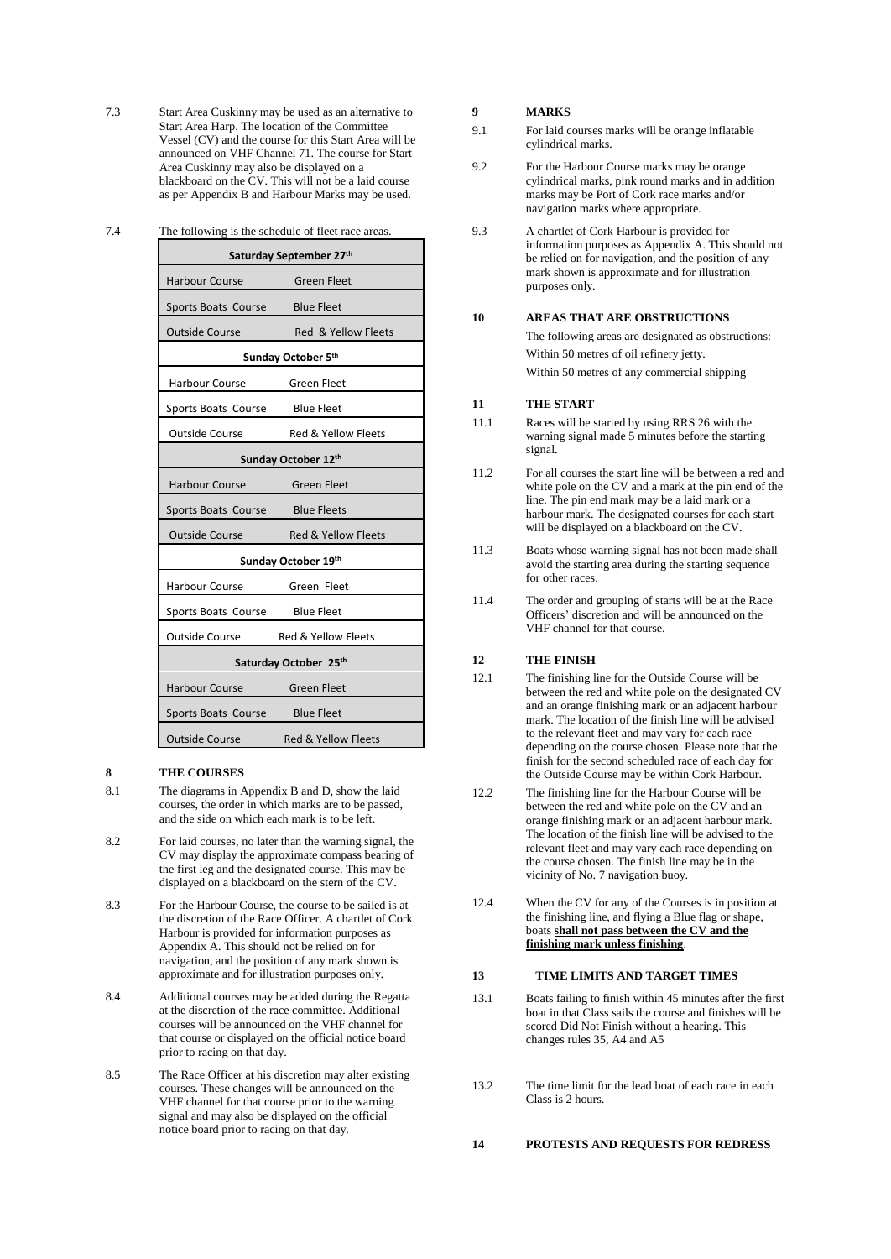- 7.3 Start Area Cuskinny may be used as an alternative to Start Area Harp. The location of the Committee Vessel (CV) and the course for this Start Area will be announced on VHF Channel 71. The course for Start Area Cuskinny may also be displayed on a blackboard on the CV. This will not be a laid course as per Appendix B and Harbour Marks may be used.
- 7.4 The following is the schedule of fleet race areas.

| Saturday September 27th        |                                |  |  |
|--------------------------------|--------------------------------|--|--|
| <b>Harbour Course</b>          | <b>Green Fleet</b>             |  |  |
| Sports Boats Course            | <b>Blue Fleet</b>              |  |  |
| <b>Outside Course</b>          | Red & Yellow Fleets            |  |  |
| Sunday October 5th             |                                |  |  |
| <b>Harbour Course</b>          | <b>Green Fleet</b>             |  |  |
| Sports Boats Course            | <b>Blue Fleet</b>              |  |  |
| <b>Outside Course</b>          | Red & Yellow Fleets            |  |  |
| Sunday October 12th            |                                |  |  |
| <b>Harbour Course</b>          | <b>Green Fleet</b>             |  |  |
| Sports Boats Course            | <b>Blue Fleets</b>             |  |  |
| <b>Outside Course</b>          | <b>Red &amp; Yellow Fleets</b> |  |  |
| Sunday October 19th            |                                |  |  |
| Harbour Course                 | Green Fleet                    |  |  |
| Sports Boats Course            | <b>Blue Fleet</b>              |  |  |
| <b>Outside Course</b>          | <b>Red &amp; Yellow Fleets</b> |  |  |
| Saturday October 25th          |                                |  |  |
| Harbour Course                 | <b>Green Fleet</b>             |  |  |
| Sports Boats Course Blue Fleet |                                |  |  |
| <b>Outside Course</b>          | Red & Yellow Fleets            |  |  |

#### **8 THE COURSES**

- 8.1 The diagrams in Appendix B and D, show the laid courses, the order in which marks are to be passed, and the side on which each mark is to be left.
- 8.2 For laid courses, no later than the warning signal, the CV may display the approximate compass bearing of the first leg and the designated course. This may be displayed on a blackboard on the stern of the CV.
- 8.3 For the Harbour Course, the course to be sailed is at the discretion of the Race Officer. A chartlet of Cork Harbour is provided for information purposes as Appendix A. This should not be relied on for navigation, and the position of any mark shown is approximate and for illustration purposes only.
- 8.4 Additional courses may be added during the Regatta at the discretion of the race committee. Additional courses will be announced on the VHF channel for that course or displayed on the official notice board prior to racing on that day.
- 8.5 The Race Officer at his discretion may alter existing courses. These changes will be announced on the VHF channel for that course prior to the warning signal and may also be displayed on the official notice board prior to racing on that day.

#### **9 MARKS**

- 9.1 For laid courses marks will be orange inflatable cylindrical marks.
- 9.2 For the Harbour Course marks may be orange cylindrical marks, pink round marks and in addition marks may be Port of Cork race marks and/or navigation marks where appropriate.
- 9.3 A chartlet of Cork Harbour is provided for information purposes as Appendix A. This should not be relied on for navigation, and the position of any mark shown is approximate and for illustration purposes only.

#### **10 AREAS THAT ARE OBSTRUCTIONS**

The following areas are designated as obstructions: Within 50 metres of oil refinery jetty. Within 50 metres of any commercial shipping

## **11 THE START**

- 11.1 Races will be started by using RRS 26 with the warning signal made 5 minutes before the starting signal.
- 11.2 For all courses the start line will be between a red and white pole on the CV and a mark at the pin end of the line. The pin end mark may be a laid mark or a harbour mark. The designated courses for each start will be displayed on a blackboard on the CV.
- 11.3 Boats whose warning signal has not been made shall avoid the starting area during the starting sequence for other races.
- 11.4 The order and grouping of starts will be at the Race Officers' discretion and will be announced on the VHF channel for that course.

#### **12 THE FINISH**

- 12.1 The finishing line for the Outside Course will be between the red and white pole on the designated CV and an orange finishing mark or an adjacent harbour mark. The location of the finish line will be advised to the relevant fleet and may vary for each race depending on the course chosen. Please note that the finish for the second scheduled race of each day for the Outside Course may be within Cork Harbour.
- 12.2 The finishing line for the Harbour Course will be between the red and white pole on the CV and an orange finishing mark or an adjacent harbour mark. The location of the finish line will be advised to the relevant fleet and may vary each race depending on the course chosen. The finish line may be in the vicinity of No. 7 navigation buoy.
- 12.4 When the CV for any of the Courses is in position at the finishing line, and flying a Blue flag or shape, boats **shall not pass between the CV and the finishing mark unless finishing**.

#### **13 TIME LIMITS AND TARGET TIMES**

- 13.1 Boats failing to finish within 45 minutes after the first boat in that Class sails the course and finishes will be scored Did Not Finish without a hearing. This changes rules 35, A4 and A5
- 13.2 The time limit for the lead boat of each race in each Class is 2 hours.

#### **14 PROTESTS AND REQUESTS FOR REDRESS**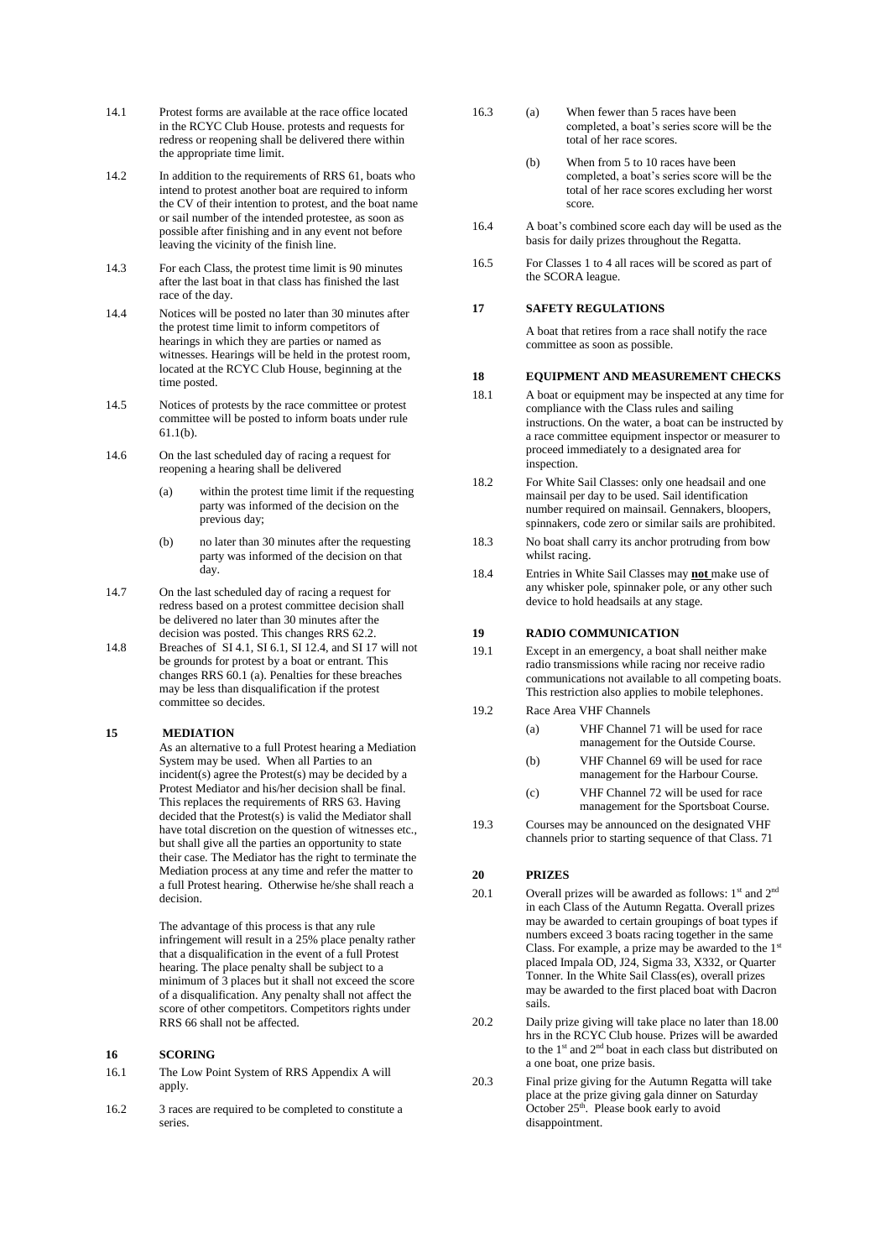- 14.1 Protest forms are available at the race office located in the RCYC Club House. protests and requests for redress or reopening shall be delivered there within the appropriate time limit.
- 14.2 In addition to the requirements of RRS 61, boats who intend to protest another boat are required to inform the CV of their intention to protest, and the boat name or sail number of the intended protestee, as soon as possible after finishing and in any event not before leaving the vicinity of the finish line.
- 14.3 For each Class, the protest time limit is 90 minutes after the last boat in that class has finished the last race of the day.
- 14.4 Notices will be posted no later than 30 minutes after the protest time limit to inform competitors of hearings in which they are parties or named as witnesses. Hearings will be held in the protest room, located at the RCYC Club House, beginning at the time posted.
- 14.5 Notices of protests by the race committee or protest committee will be posted to inform boats under rule 61.1(b).
- 14.6 On the last scheduled day of racing a request for reopening a hearing shall be delivered
	- (a) within the protest time limit if the requesting party was informed of the decision on the previous day;
	- (b) no later than 30 minutes after the requesting party was informed of the decision on that day.
- 14.7 On the last scheduled day of racing a request for redress based on a protest committee decision shall be delivered no later than 30 minutes after the decision was posted. This changes RRS 62.2.
- 14.8 Breaches of SI 4.1, SI 6.1, SI 12.4, and SI 17 will not be grounds for protest by a boat or entrant. This changes RRS 60.1 (a). Penalties for these breaches may be less than disqualification if the protest committee so decides.

#### **15 MEDIATION**

As an alternative to a full Protest hearing a Mediation System may be used. When all Parties to an incident(s) agree the Protest(s) may be decided by a Protest Mediator and his/her decision shall be final. This replaces the requirements of RRS 63. Having decided that the Protest(s) is valid the Mediator shall have total discretion on the question of witnesses etc., but shall give all the parties an opportunity to state their case. The Mediator has the right to terminate the Mediation process at any time and refer the matter to a full Protest hearing. Otherwise he/she shall reach a decision.

The advantage of this process is that any rule infringement will result in a 25% place penalty rather that a disqualification in the event of a full Protest hearing. The place penalty shall be subject to a minimum of 3 places but it shall not exceed the score of a disqualification. Any penalty shall not affect the score of other competitors. Competitors rights under RRS 66 shall not be affected.

#### **16 SCORING**

- 16.1 The Low Point System of RRS Appendix A will apply.
- 16.2 3 races are required to be completed to constitute a series.
- 16.3 (a) When fewer than 5 races have been completed, a boat's series score will be the total of her race scores.
	- (b) When from 5 to 10 races have been completed, a boat's series score will be the total of her race scores excluding her worst score.
- 16.4 A boat's combined score each day will be used as the basis for daily prizes throughout the Regatta.
- 16.5 For Classes 1 to 4 all races will be scored as part of the SCORA league.

## **17 SAFETY REGULATIONS**

A boat that retires from a race shall notify the race committee as soon as possible.

#### **18 EQUIPMENT AND MEASUREMENT CHECKS**

- 18.1 A boat or equipment may be inspected at any time for compliance with the Class rules and sailing instructions. On the water, a boat can be instructed by a race committee equipment inspector or measurer to proceed immediately to a designated area for inspection.
- 18.2 For White Sail Classes: only one headsail and one mainsail per day to be used. Sail identification number required on mainsail. Gennakers, bloopers, spinnakers, code zero or similar sails are prohibited.
- 18.3 No boat shall carry its anchor protruding from bow whilst racing.
- 18.4 Entries in White Sail Classes may **not** make use of any whisker pole, spinnaker pole, or any other such device to hold headsails at any stage.

#### **19 RADIO COMMUNICATION**

- 19.1 Except in an emergency, a boat shall neither make radio transmissions while racing nor receive radio communications not available to all competing boats. This restriction also applies to mobile telephones.
- 19.2 Race Area VHF Channels
	- (a) VHF Channel 71 will be used for race management for the Outside Course.
	- (b) VHF Channel 69 will be used for race management for the Harbour Course.
	- (c) VHF Channel 72 will be used for race management for the Sportsboat Course.
- 19.3 Courses may be announced on the designated VHF channels prior to starting sequence of that Class. 71

#### **20 PRIZES**

20.1 Overall prizes will be awarded as follows:  $1<sup>st</sup>$  and  $2<sup>nd</sup>$ in each Class of the Autumn Regatta. Overall prizes may be awarded to certain groupings of boat types if numbers exceed 3 boats racing together in the same Class. For example, a prize may be awarded to the 1<sup>st</sup> placed Impala OD, J24, Sigma 33, X332, or Quarter Tonner. In the White Sail Class(es), overall prizes may be awarded to the first placed boat with Dacron sails.

20.2 Daily prize giving will take place no later than 18.00 hrs in the RCYC Club house. Prizes will be awarded to the 1<sup>st</sup> and 2<sup>nd</sup> boat in each class but distributed on a one boat, one prize basis.

20.3 Final prize giving for the Autumn Regatta will take place at the prize giving gala dinner on Saturday October 25<sup>th</sup>. Please book early to avoid disappointment.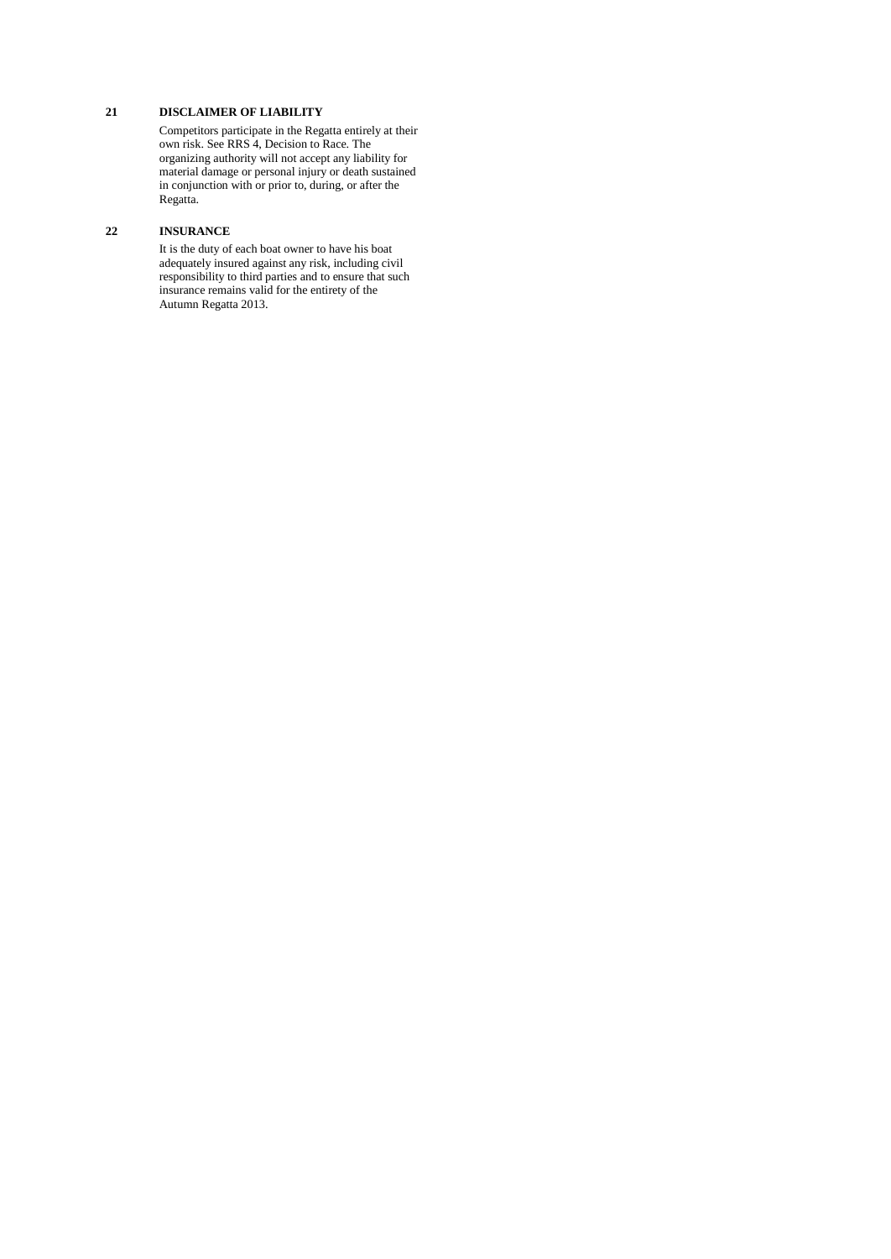## **21 DISCLAIMER OF LIABILITY**

Competitors participate in the Regatta entirely at their own risk. See RRS 4, Decision to Race. The organizing authority will not accept any liability for material damage or personal injury or death sustained in conjunction with or prior to, during, or after the Regatta.

## **22 INSURANCE**

It is the duty of each boat owner to have his boat adequately insured against any risk, including civil responsibility to third parties and to ensure that such insurance remains valid for the entirety of the Autumn Regatta 2013.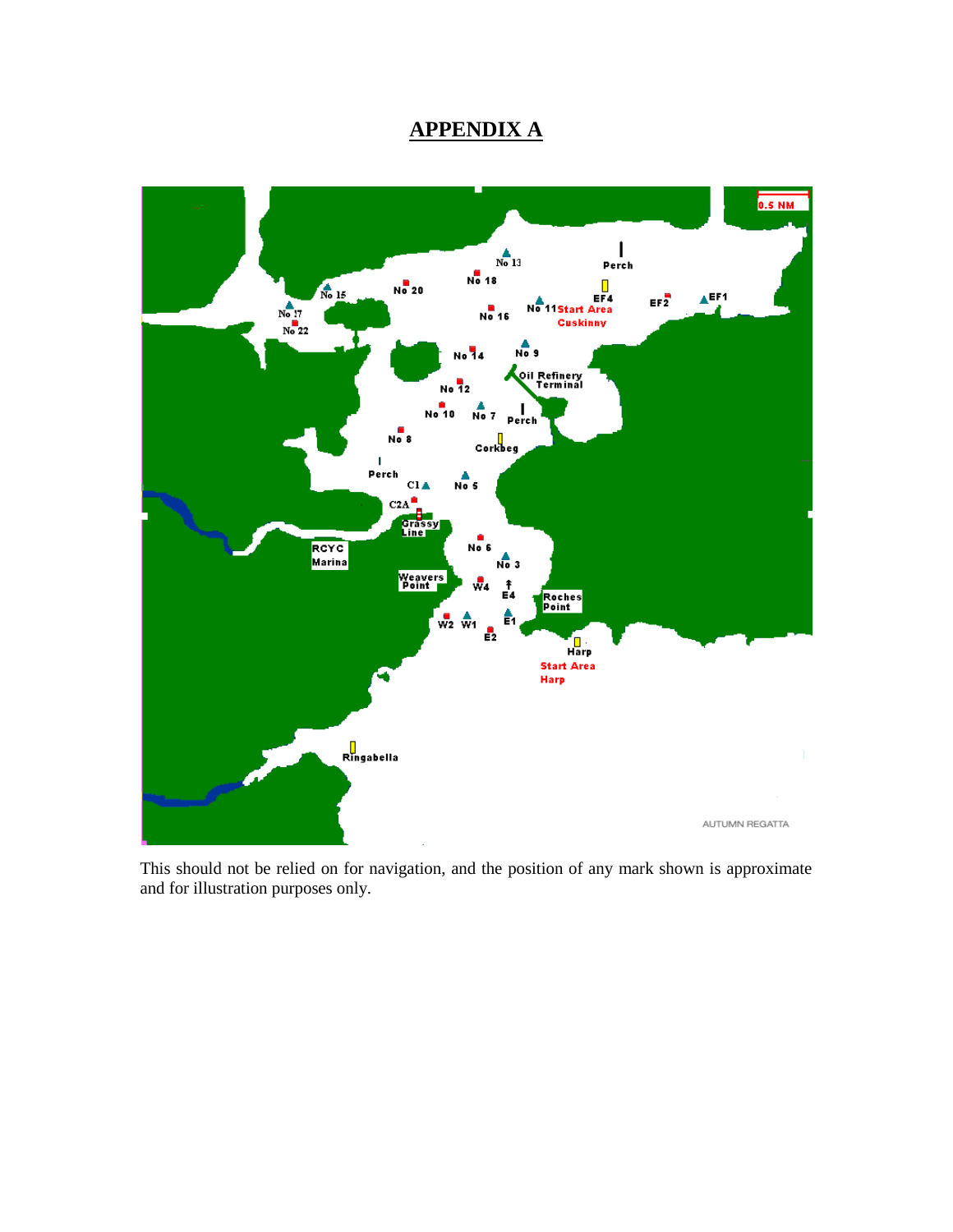# **APPENDIX A**



This should not be relied on for navigation, and the position of any mark shown is approximate and for illustration purposes only.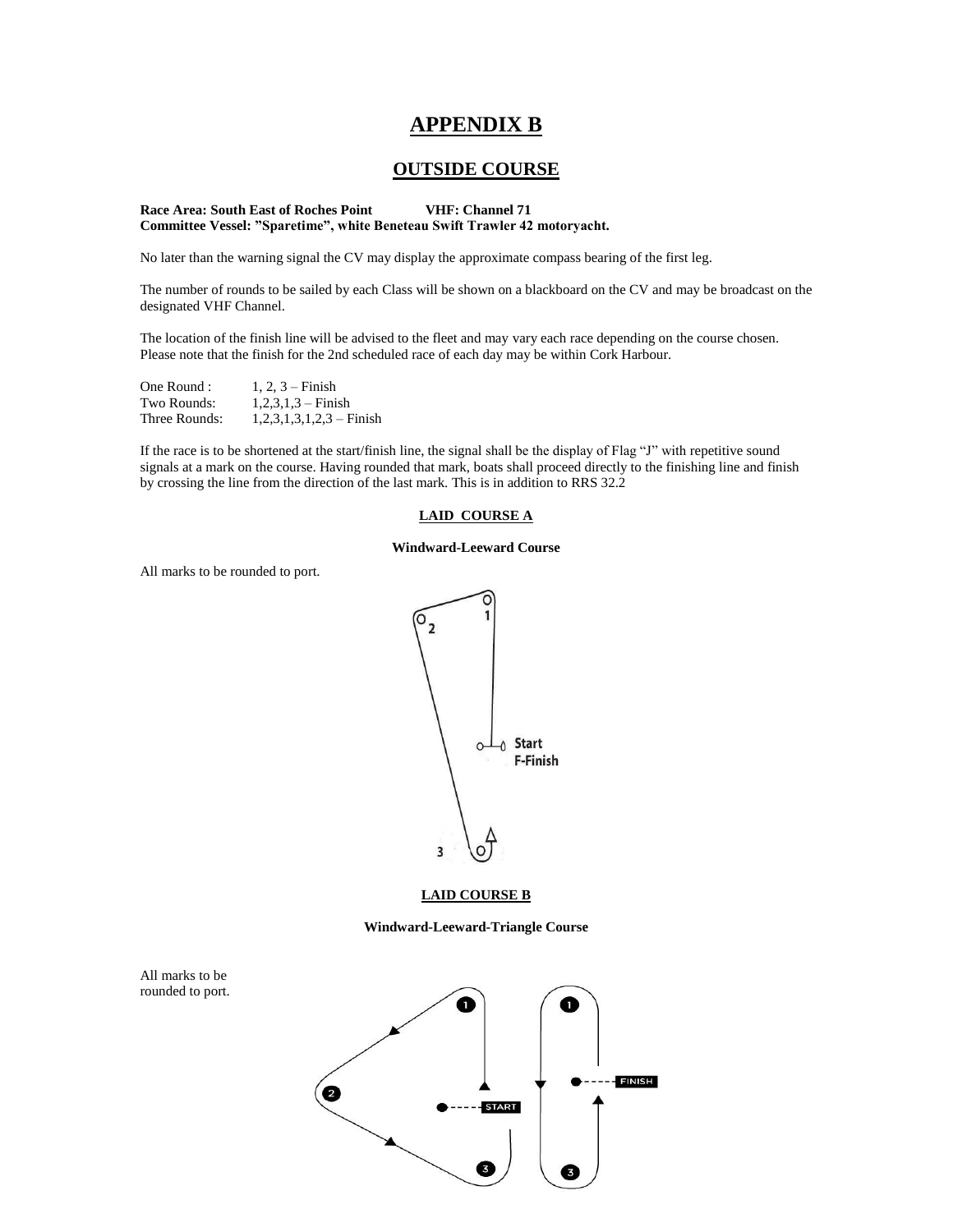## **APPENDIX B**

## **OUTSIDE COURSE**

#### **Race Area: South East of Roches Point VHF: Channel 71 Committee Vessel: "Sparetime", white Beneteau Swift Trawler 42 motoryacht.**

No later than the warning signal the CV may display the approximate compass bearing of the first leg.

The number of rounds to be sailed by each Class will be shown on a blackboard on the CV and may be broadcast on the designated VHF Channel.

The location of the finish line will be advised to the fleet and may vary each race depending on the course chosen. Please note that the finish for the 2nd scheduled race of each day may be within Cork Harbour.

| One Round :   | $1, 2, 3 -$ Finish         |
|---------------|----------------------------|
| Two Rounds:   | $1,2,3,1,3$ – Finish       |
| Three Rounds: | $1,2,3,1,3,1,2,3$ – Finish |

If the race is to be shortened at the start/finish line, the signal shall be the display of Flag "J" with repetitive sound signals at a mark on the course. Having rounded that mark, boats shall proceed directly to the finishing line and finish by crossing the line from the direction of the last mark. This is in addition to RRS 32.2

#### **LAID COURSE A**

#### **Windward-Leeward Course**

All marks to be rounded to port.



#### **LAID COURSE B**

**Windward-Leeward-Triangle Course**



All marks to be rounded to port.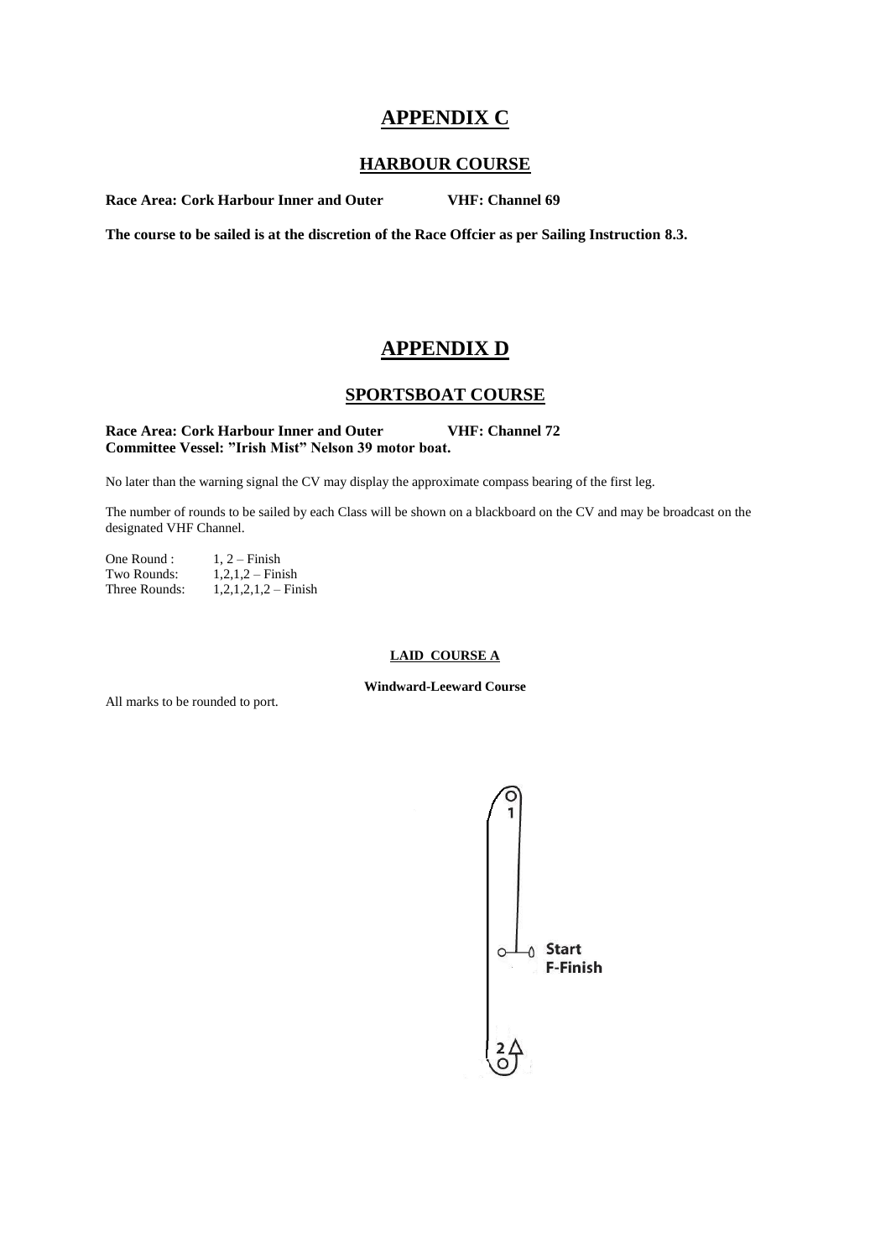# **APPENDIX C**

## **HARBOUR COURSE**

**Race Area: Cork Harbour Inner and Outer VHF: Channel 69**

**The course to be sailed is at the discretion of the Race Offcier as per Sailing Instruction 8.3.**

## **APPENDIX D**

## **SPORTSBOAT COURSE**

### Race Area: Cork Harbour Inner and Outer **VHF: Channel 72 Committee Vessel: "Irish Mist" Nelson 39 motor boat.**

No later than the warning signal the CV may display the approximate compass bearing of the first leg.

The number of rounds to be sailed by each Class will be shown on a blackboard on the CV and may be broadcast on the designated VHF Channel.

One Round :  $1, 2$  – Finish Two Rounds:  $1,2,1,2$  – Finish Three Rounds:  $1,2,1,2,1,2$  – Finish

## **LAID COURSE A**

**Windward-Leeward Course**

All marks to be rounded to port.

$$
\begin{pmatrix}\n0 \\
1 \\
\vdots \\
0\n\end{pmatrix}
$$
 Start F-Finish